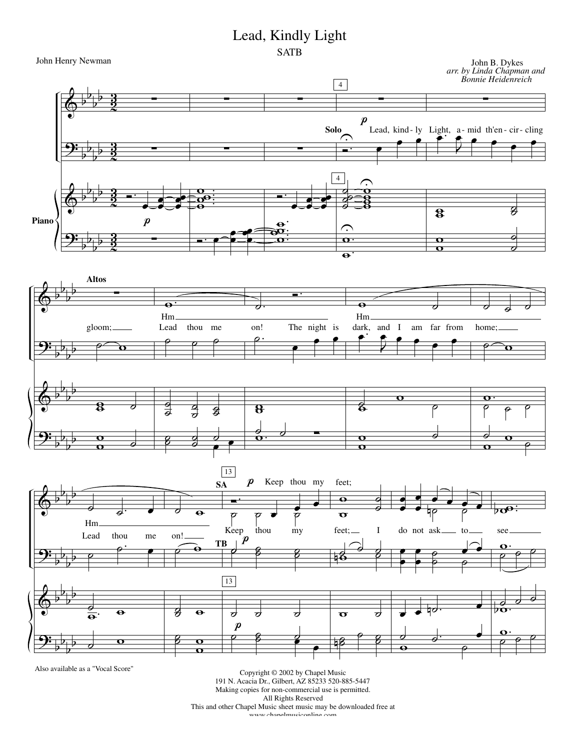## Lead, Kindly Light



Also available as a "Vocal Score"

Copyright © 2002 by Chapel Music 191 N. Acacia Dr., Gilbert, AZ 85233 520-885-5447 Making copies for non-commercial use is permitted. All Rights Reserved This and other Chapel Music sheet music may be downloaded free at www.chanelmusiconline.com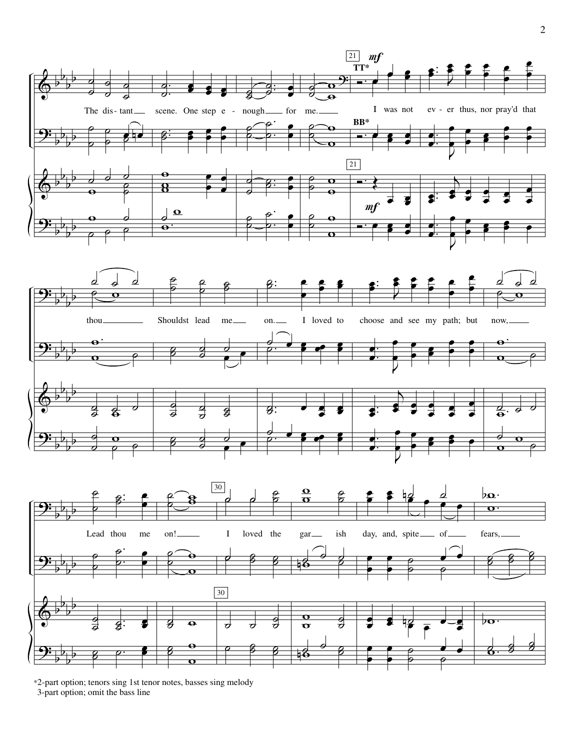

\*2-part option; tenors sing 1st tenor notes, basses sing melody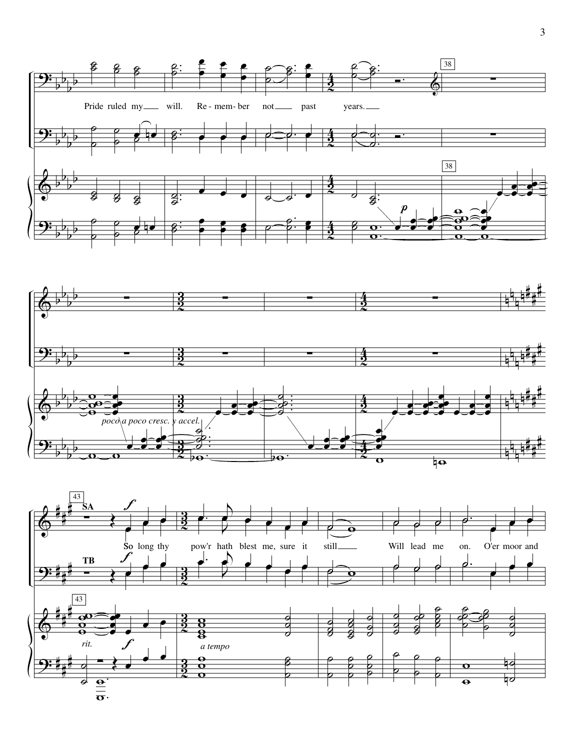